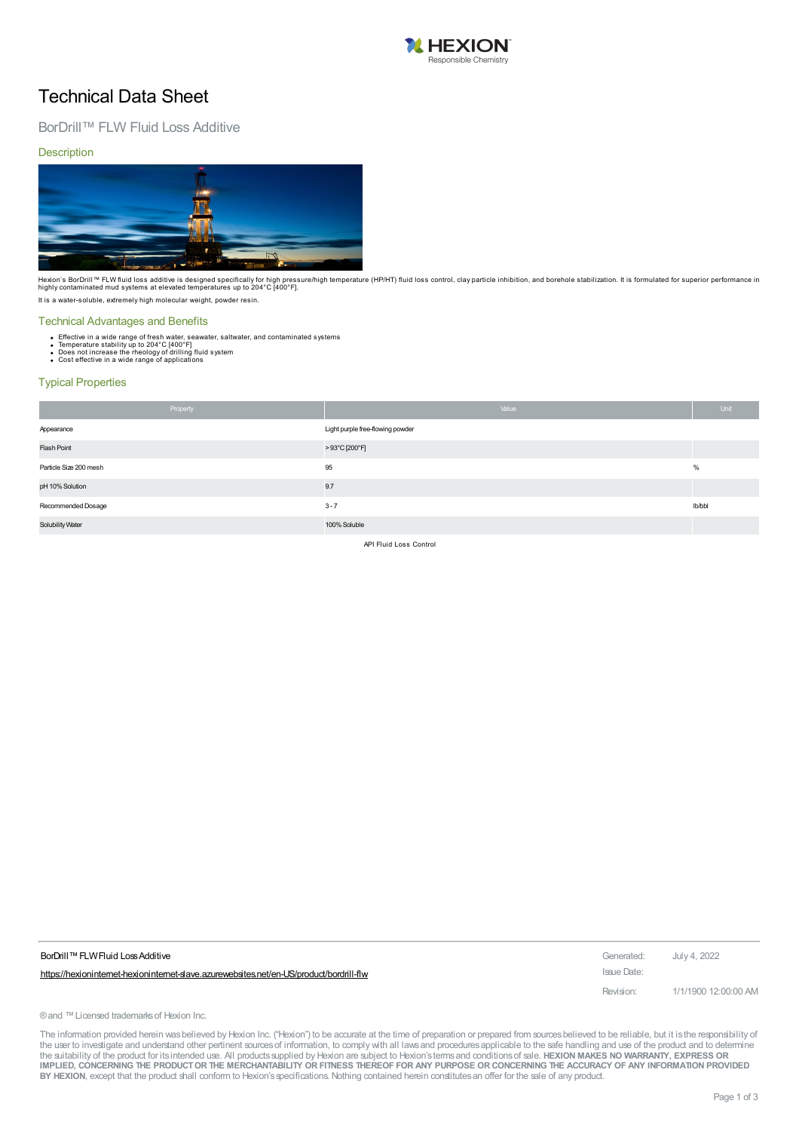

### Technical Data Sheet

### BorDrill™ FLW Fluid Loss Additive

**Description** 



Hexion's BorDrill™ FLW fluid loss additive is designed specifically for high pressure/high temperature (HP/HT) fluid loss control, clay particle inhibition, and borehole stabilization. It is formulated for superior perfor It is a water-soluble, extremely high molecular weight, powder resin.

#### Technical Advantages and Benefits

- 
- Effective in a wide range of fresh water, seawater, saltwater, and contaminated systems<br>Temperature stability up to 204°C [400°F]<br>Does not increase the rheology of drilling fluid system<br>Cost effective in a wide range of ap
- 

### Typical Properties

|                        | Property | Value                            | Unit   |
|------------------------|----------|----------------------------------|--------|
| Appearance             |          | Light purple free-flowing powder |        |
| Flash Point            |          | >93°C [200°F]                    |        |
| Particle Size 200 mesh |          | 95                               | %      |
| pH 10% Solution        |          | 9.7                              |        |
| Recommended Dosage     |          | $3 - 7$                          | lb/bbl |
| Solubility Water       |          | 100% Soluble                     |        |

API Fluid Loss Control

| BorDrill™ FLW Fluid Loss Additive                                                      | Generated:  | July 4, 2022         |
|----------------------------------------------------------------------------------------|-------------|----------------------|
| https://hexionintemet-hexionintemet-slave.azurewebsites.net/en-US/product/bordrill-flw | Issue Date: |                      |
|                                                                                        | Revision:   | 1/1/1900 12:00:00 AM |

® and ™ Licensed trademarks of Hexion Inc.

The information provided herein was believed by Hexion Inc. ("Hexion") to be accurate at the time of preparation or prepared from sources believed to be reliable, but it is the responsibility of the user to investigate and understand other pertinent sources of information, to comply with all laws and procedures applicable to the safe handling and use of the product and to determine<br>the suitability of the product f IMPLIED, CONCERNING THE PRODUCT OR THE MERCHANTABILITY OR FITNESS THEREOF FOR ANY PURPOSE OR CONCERNING THE ACCURACY OF ANY INFORMATION PROVIDED **BY HEXION**, except that the product shall conform to Hexion'sspecifications. Nothing contained herein constitutesan offer for the sale of any product.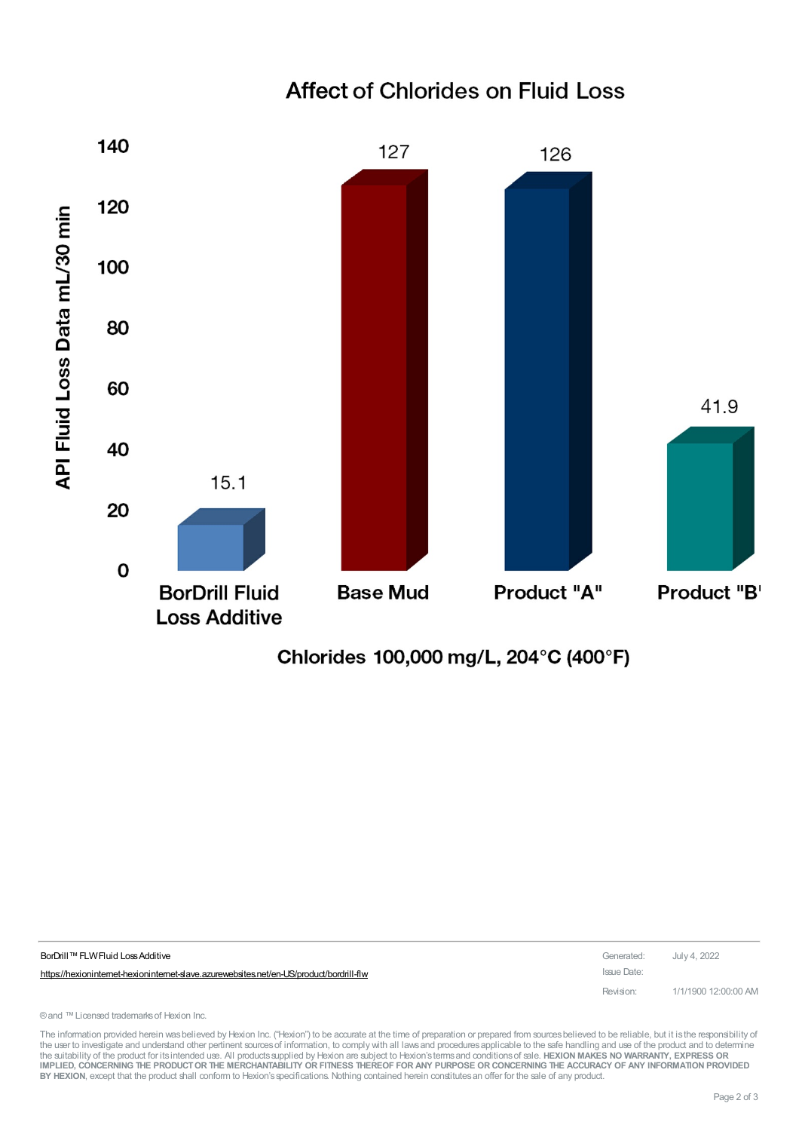

# **Affect of Chlorides on Fluid Loss**

Chlorides 100,000 mg/L, 204°C (400°F)

| BorDrill™ FLW Fluid Loss Additive                                                        | Generated: July 4, 2022 |                      |
|------------------------------------------------------------------------------------------|-------------------------|----------------------|
| https://hexioninternet-hexioninternet-slave.azurewebsites.net/en-US/product/bordrill-flw | Issue Date:             |                      |
|                                                                                          | Revision:               | 1/1/1900 12:00:00 AM |

® and ™ Licensed trademarks of Hexion Inc.

The information provided herein was believed by Hexion Inc. ("Hexion") to be accurate at the time of preparation or prepared from sources believed to be reliable, but it is the responsibility of the user to investigate and understand other pertinent sources of information, to comply with all laws and procedures applicable to the safe handling and use of the product and to determine the suitability of the product for itsintended use. All productssupplied by Hexion are subject to Hexion'stermsand conditionsof sale. **HEXION MAKES NO WARRANTY, EXPRESS OR** IMPLIED, CONCERNING THE PRODUCT OR THE MERCHANTABILITY OR FITNESS THEREOF FOR ANY PURPOSE OR CONCERNING THE ACCURACY OF ANY INFORMATION PROVIDED **BY HEXION**, except that the product shall conform to Hexion'sspecifications. Nothing contained herein constitutesan offer for the sale of any product.